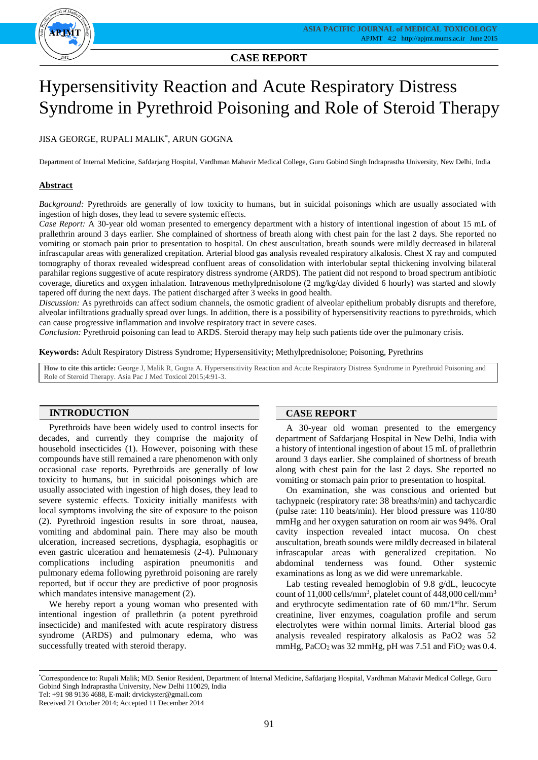

# **CASE REPORT**

# Hypersensitivity Reaction and Acute Respiratory Distress Syndrome in Pyrethroid Poisoning and Role of Steroid Therapy

## JISA GEORGE, RUPALI MALIK\* , ARUN GOGNA

Department of Internal Medicine, Safdarjang Hospital, Vardhman Mahavir Medical College, Guru Gobind Singh Indraprastha University, New Delhi, India

#### **Abstract**

*Background:* Pyrethroids are generally of low toxicity to humans, but in suicidal poisonings which are usually associated with ingestion of high doses, they lead to severe systemic effects.

*Case Report:* A 30-year old woman presented to emergency department with a history of intentional ingestion of about 15 mL of prallethrin around 3 days earlier. She complained of shortness of breath along with chest pain for the last 2 days. She reported no vomiting or stomach pain prior to presentation to hospital. On chest auscultation, breath sounds were mildly decreased in bilateral infrascapular areas with generalized crepitation. Arterial blood gas analysis revealed respiratory alkalosis. Chest X ray and computed tomography of thorax revealed widespread confluent areas of consolidation with interlobular septal thickening involving bilateral parahilar regions suggestive of acute respiratory distress syndrome (ARDS). The patient did not respond to broad spectrum antibiotic coverage, diuretics and oxygen inhalation. Intravenous methylprednisolone (2 mg/kg/day divided 6 hourly) was started and slowly tapered off during the next days. The patient discharged after 3 weeks in good health.

*Discussion:* As pyrethroids can affect sodium channels, the osmotic gradient of alveolar epithelium probably disrupts and therefore, alveolar infiltrations gradually spread over lungs. In addition, there is a possibility of hypersensitivity reactions to pyrethroids, which can cause progressive inflammation and involve respiratory tract in severe cases.

*Conclusion:* Pyrethroid poisoning can lead to ARDS. Steroid therapy may help such patients tide over the pulmonary crisis.

**Keywords:** Adult Respiratory Distress Syndrome; Hypersensitivity; Methylprednisolone; Poisoning, Pyrethrins

**How to cite this article:** George J, Malik R, Gogna A. Hypersensitivity Reaction and Acute Respiratory Distress Syndrome in Pyrethroid Poisoning and Role of Steroid Therapy. Asia Pac J Med Toxicol 2015;4:91-3.

### **INTRODUCTION**

Pyrethroids have been widely used to control insects for decades, and currently they comprise the majority of household insecticides (1). However, poisoning with these compounds have still remained a rare phenomenon with only occasional case reports. Pyrethroids are generally of low toxicity to humans, but in suicidal poisonings which are usually associated with ingestion of high doses, they lead to severe systemic effects. Toxicity initially manifests with local symptoms involving the site of exposure to the poison (2). Pyrethroid ingestion results in sore throat, nausea, vomiting and abdominal pain. There may also be mouth ulceration, increased secretions, dysphagia, esophagitis or even gastric ulceration and hematemesis (2-4). Pulmonary complications including aspiration pneumonitis and pulmonary edema following pyrethroid poisoning are rarely reported, but if occur they are predictive of poor prognosis which mandates intensive management  $(2)$ .

We hereby report a young woman who presented with intentional ingestion of prallethrin (a potent pyrethroid insecticide) and manifested with acute respiratory distress syndrome (ARDS) and pulmonary edema, who was successfully treated with steroid therapy.

#### **CASE REPORT**

A 30-year old woman presented to the emergency department of Safdarjang Hospital in New Delhi, India with a history of intentional ingestion of about 15 mL of prallethrin around 3 days earlier. She complained of shortness of breath along with chest pain for the last 2 days. She reported no vomiting or stomach pain prior to presentation to hospital.

On examination, she was conscious and oriented but tachypneic (respiratory rate: 38 breaths/min) and tachycardic (pulse rate: 110 beats/min). Her blood pressure was 110/80 mmHg and her oxygen saturation on room air was 94%. Oral cavity inspection revealed intact mucosa. On chest auscultation, breath sounds were mildly decreased in bilateral infrascapular areas with generalized crepitation. No abdominal tenderness was found. Other systemic examinations as long as we did were unremarkable.

Lab testing revealed hemoglobin of 9.8 g/dL, leucocyte count of 11,000 cells/mm<sup>3</sup>, platelet count of 448,000 cell/mm<sup>3</sup> and erythrocyte sedimentation rate of 60 mm/1sthr. Serum creatinine, liver enzymes, coagulation profile and serum electrolytes were within normal limits. Arterial blood gas analysis revealed respiratory alkalosis as PaO2 was 52 mmHg,  $PaCO<sub>2</sub>$  was 32 mmHg, pH was 7.51 and  $FiO<sub>2</sub>$  was 0.4.

<sup>\*</sup>Correspondence to: Rupali Malik; MD. Senior Resident, Department of Internal Medicine, Safdarjang Hospital, Vardhman Mahavir Medical College, Guru Gobind Singh Indraprastha University, New Delhi 110029, India Tel: +91 98 9136 4688, E-mail: drvickyster@gmail.com

Received 21 October 2014; Accepted 11 December 2014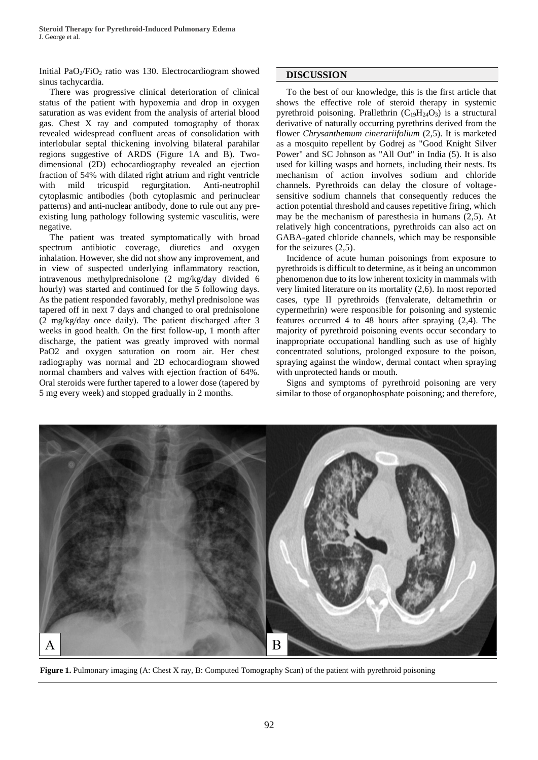**Steroid Therapy for Pyrethroid-Induced Pulmonary Edema** J. George et al.

Initial PaO2/FiO<sup>2</sup> ratio was 130. Electrocardiogram showed sinus tachycardia.

There was progressive clinical deterioration of clinical status of the patient with hypoxemia and drop in oxygen saturation as was evident from the analysis of arterial blood gas. Chest X ray and computed tomography of thorax revealed widespread confluent areas of consolidation with interlobular septal thickening involving bilateral parahilar regions suggestive of ARDS (Figure 1A and B). Twodimensional (2D) echocardiography revealed an ejection fraction of 54% with dilated right atrium and right ventricle with mild tricuspid regurgitation. Anti-neutrophil cytoplasmic antibodies (both cytoplasmic and perinuclear patterns) and anti-nuclear antibody, done to rule out any preexisting lung pathology following systemic vasculitis, were negative.

The patient was treated symptomatically with broad spectrum antibiotic coverage, diuretics and oxygen inhalation. However, she did not show any improvement, and in view of suspected underlying inflammatory reaction, intravenous methylprednisolone (2 mg/kg/day divided 6 hourly) was started and continued for the 5 following days. As the patient responded favorably, methyl prednisolone was tapered off in next 7 days and changed to oral prednisolone (2 mg/kg/day once daily). The patient discharged after 3 weeks in good health. On the first follow-up, 1 month after discharge, the patient was greatly improved with normal PaO2 and oxygen saturation on room air. Her chest radiography was normal and 2D echocardiogram showed normal chambers and valves with ejection fraction of 64%. Oral steroids were further tapered to a lower dose (tapered by 5 mg every week) and stopped gradually in 2 months.

#### **DISCUSSION**

To the best of our knowledge, this is the first article that shows the effective role of steroid therapy in systemic pyrethroid poisoning. Prallethrin  $(C_{19}H_{24}O_3)$  is a structural derivative of naturally occurring pyrethrins derived from the flower *Chrysanthemum cinerariifolium* (2,5). It is marketed as a mosquito repellent by Godrej as "Good Knight Silver Power" and SC Johnson as "All Out" in India (5). It is also used for killing wasps and hornets, including their nests. Its mechanism of action involves sodium and chloride channels. Pyrethroids can delay the closure of voltagesensitive sodium channels that consequently reduces the action potential threshold and causes repetitive firing, which may be the mechanism of paresthesia in humans (2,5). At relatively high concentrations, pyrethroids can also act on GABA-gated chloride channels, which may be responsible for the seizures (2,5).

Incidence of acute human poisonings from exposure to pyrethroids is difficult to determine, as it being an uncommon phenomenon due to its low inherent toxicity in mammals with very limited literature on its mortality (2,6). In most reported cases, type II pyrethroids (fenvalerate, deltamethrin or cypermethrin) were responsible for poisoning and systemic features occurred 4 to 48 hours after spraying (2,4). The majority of pyrethroid poisoning events occur secondary to inappropriate occupational handling such as use of highly concentrated solutions, prolonged exposure to the poison, spraying against the window, dermal contact when spraying with unprotected hands or mouth.

Signs and symptoms of pyrethroid poisoning are very similar to those of organophosphate poisoning; and therefore,



**Figure 1.** Pulmonary imaging (A: Chest X ray, B: Computed Tomography Scan) of the patient with pyrethroid poisoning